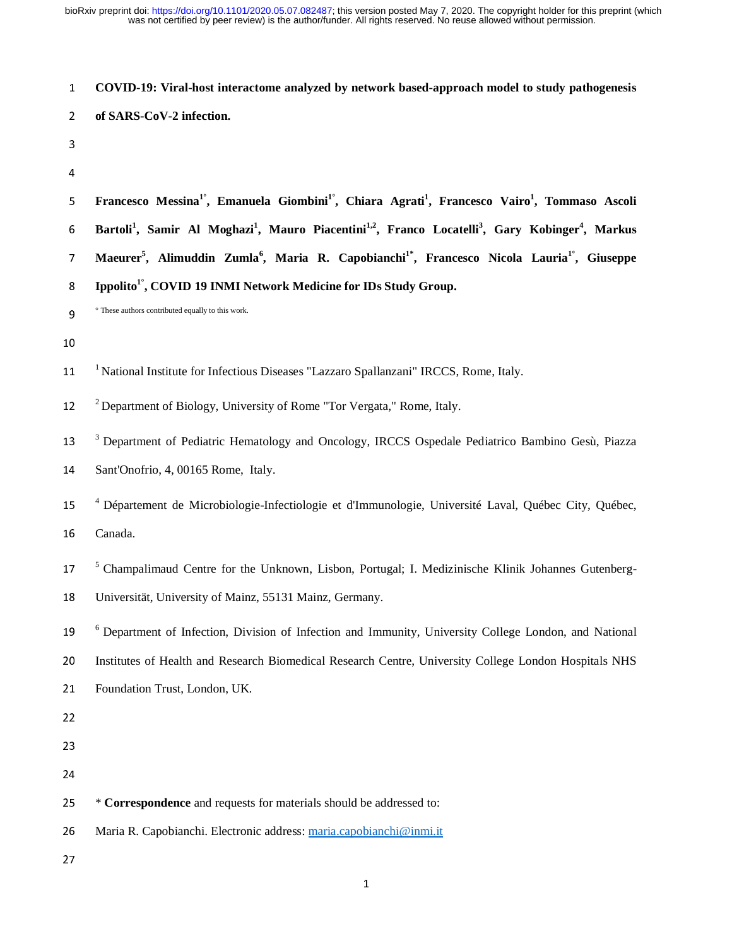<sup>1</sup>**COVID-19: Viral-host interactome analyzed by network based-approach model to study pathogenesis** 

| $\overline{2}$ | of SARS-CoV-2 infection.                                                                                                                                     |
|----------------|--------------------------------------------------------------------------------------------------------------------------------------------------------------|
| 3              |                                                                                                                                                              |
| 4              |                                                                                                                                                              |
| 5              | Francesco Messina <sup>1°</sup> , Emanuela Giombini <sup>1°</sup> , Chiara Agrati <sup>1</sup> , Francesco Vairo <sup>1</sup> , Tommaso Ascoli               |
| 6              | Bartoli <sup>1</sup> , Samir Al Moghazi <sup>1</sup> , Mauro Piacentini <sup>1,2</sup> , Franco Locatelli <sup>3</sup> , Gary Kobinger <sup>4</sup> , Markus |
| 7              | Maeurer <sup>5</sup> , Alimuddin Zumla <sup>6</sup> , Maria R. Capobianchi <sup>1*</sup> , Francesco Nicola Lauria <sup>1°</sup> , Giuseppe                  |
| 8              | Ippolito <sup>1°</sup> , COVID 19 INMI Network Medicine for IDs Study Group.                                                                                 |
| 9              | ° These authors contributed equally to this work.                                                                                                            |
| 10             |                                                                                                                                                              |
| 11             | <sup>1</sup> National Institute for Infectious Diseases "Lazzaro Spallanzani" IRCCS, Rome, Italy.                                                            |
| 12             | <sup>2</sup> Department of Biology, University of Rome "Tor Vergata," Rome, Italy.                                                                           |
| 13             | <sup>3</sup> Department of Pediatric Hematology and Oncology, IRCCS Ospedale Pediatrico Bambino Gesù, Piazza                                                 |
| 14             | Sant'Onofrio, 4, 00165 Rome, Italy.                                                                                                                          |
| 15             | <sup>4</sup> Département de Microbiologie-Infectiologie et d'Immunologie, Université Laval, Québec City, Québec,                                             |
| 16             | Canada.                                                                                                                                                      |
| 17             | <sup>5</sup> Champalimaud Centre for the Unknown, Lisbon, Portugal; I. Medizinische Klinik Johannes Gutenberg-                                               |
| 18             | Universität, University of Mainz, 55131 Mainz, Germany.                                                                                                      |
| 19             | <sup>6</sup> Department of Infection, Division of Infection and Immunity, University College London, and National                                            |
| 20             | Institutes of Health and Research Biomedical Research Centre, University College London Hospitals NHS                                                        |
| 21             | Foundation Trust, London, UK.                                                                                                                                |
| 22             |                                                                                                                                                              |
| 23             |                                                                                                                                                              |
| 24             |                                                                                                                                                              |
| 25             | * Correspondence and requests for materials should be addressed to:                                                                                          |
| 26             | Maria R. Capobianchi. Electronic address: maria.capobianchi@inmi.it                                                                                          |
| 27             |                                                                                                                                                              |

1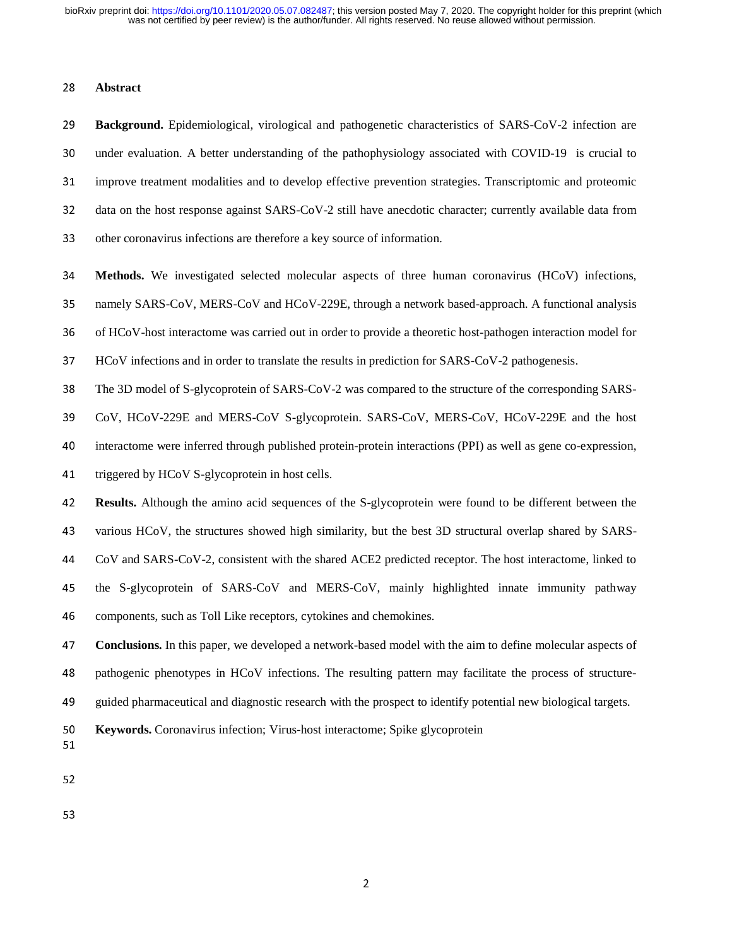# <sup>28</sup>**Abstract**

<sup>29</sup>**Background.** Epidemiological, virological and pathogenetic characteristics of SARS-CoV-2 infection are 30 under evaluation. A better understanding of the pathophysiology associated with COVID-19 is crucial to <sup>31</sup>improve treatment modalities and to develop effective prevention strategies. Transcriptomic and proteomic 32 data on the host response against SARS-CoV-2 still have anecdotic character; currently available data from 33 other coronavirus infections are therefore a key source of information.

<sup>34</sup>**Methods.** We investigated selected molecular aspects of three human coronavirus (HCoV) infections,

35 namely SARS-CoV, MERS-CoV and HCoV-229E, through a network based-approach. A functional analysis

36 of HCoV-host interactome was carried out in order to provide a theoretic host-pathogen interaction model for

<sup>37</sup>HCoV infections and in order to translate the results in prediction for SARS-CoV-2 pathogenesis.

38 The 3D model of S-glycoprotein of SARS-CoV-2 was compared to the structure of the corresponding SARS-

<sup>39</sup>CoV, HCoV-229E and MERS-CoV S-glycoprotein. SARS-CoV, MERS-CoV, HCoV-229E and the host

40 interactome were inferred through published protein-protein interactions (PPI) as well as gene co-expression,

41 triggered by HCoV S-glycoprotein in host cells.

<sup>42</sup>**Results.** Although the amino acid sequences of the S-glycoprotein were found to be different between the 43 various HCoV, the structures showed high similarity, but the best 3D structural overlap shared by SARS-<sup>44</sup>CoV and SARS-CoV-2, consistent with the shared ACE2 predicted receptor. The host interactome, linked to 45 the S-glycoprotein of SARS-CoV and MERS-CoV, mainly highlighted innate immunity pathway 46 components, such as Toll Like receptors, cytokines and chemokines.

<sup>47</sup>**Conclusions.** In this paper, we developed a network-based model with the aim to define molecular aspects of 48 pathogenic phenotypes in HCoV infections. The resulting pattern may facilitate the process of structure-<sup>49</sup>guided pharmaceutical and diagnostic research with the prospect to identify potential new biological targets.

<sup>50</sup>**Keywords.** Coronavirus infection; Virus-host interactome; Spike glycoprotein

51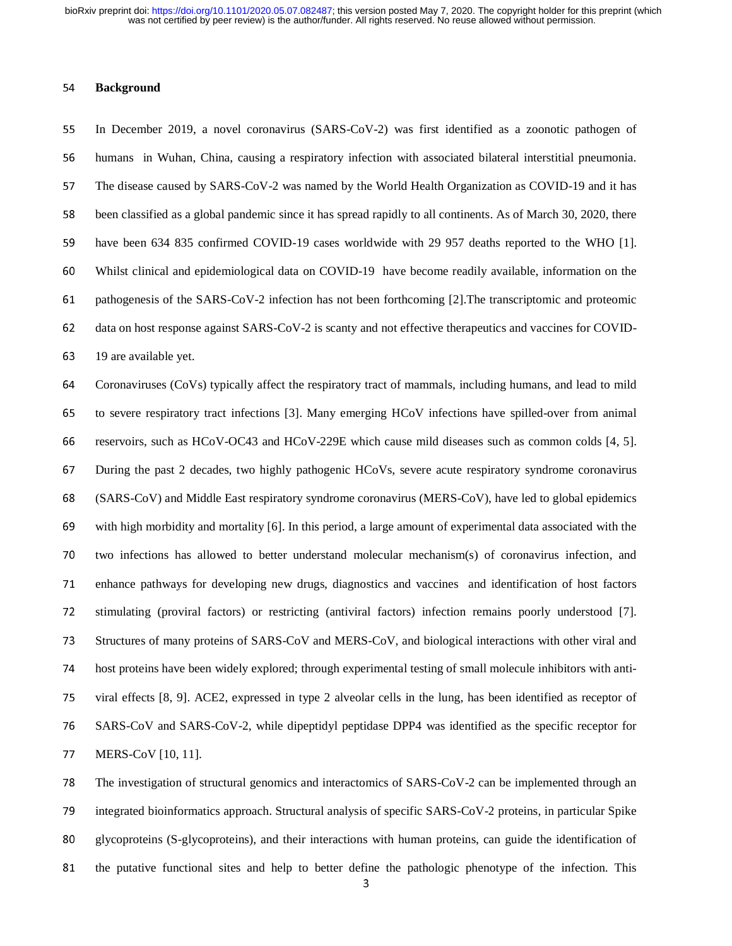#### <sup>54</sup>**Background**

<sup>55</sup>In December 2019, a novel coronavirus (SARS-CoV-2) was first identified as a zoonotic pathogen of 56 humans in Wuhan, China, causing a respiratory infection with associated bilateral interstitial pneumonia. 57 The disease caused by SARS-CoV-2 was named by the World Health Organization as COVID-19 and it has 58 been classified as a global pandemic since it has spread rapidly to all continents. As of March 30, 2020, there 59 have been 634 835 confirmed COVID-19 cases worldwide with 29 957 deaths reported to the WHO [1]. <sup>60</sup>Whilst clinical and epidemiological data on COVID-19 have become readily available, information on the 61 pathogenesis of the SARS-CoV-2 infection has not been forthcoming [2]. The transcriptomic and proteomic 62 data on host response against SARS-CoV-2 is scanty and not effective therapeutics and vaccines for COVID-63 19 are available yet.

<sup>64</sup>Coronaviruses (CoVs) typically affect the respiratory tract of mammals, including humans, and lead to mild 65 to severe respiratory tract infections [3]. Many emerging HCoV infections have spilled-over from animal <sup>66</sup>reservoirs, such as HCoV-OC43 and HCoV-229E which cause mild diseases such as common colds [4, 5]. <sup>67</sup>During the past 2 decades, two highly pathogenic HCoVs, severe acute respiratory syndrome coronavirus <sup>68</sup>(SARS-CoV) and Middle East respiratory syndrome coronavirus (MERS-CoV), have led to global epidemics 69 with high morbidity and mortality  $[6]$ . In this period, a large amount of experimental data associated with the 70 two infections has allowed to better understand molecular mechanism(s) of coronavirus infection, and 71 enhance pathways for developing new drugs, diagnostics and vaccines and identification of host factors 72 stimulating (proviral factors) or restricting (antiviral factors) infection remains poorly understood [7]. 73 Structures of many proteins of SARS-CoV and MERS-CoV, and biological interactions with other viral and 74 host proteins have been widely explored; through experimental testing of small molecule inhibitors with anti-75 viral effects [8, 9]. ACE2, expressed in type 2 alveolar cells in the lung, has been identified as receptor of 76 SARS-CoV and SARS-CoV-2, while dipeptidyl peptidase DPP4 was identified as the specific receptor for 77 MERS-CoV [10, 11].

78 The investigation of structural genomics and interactomics of SARS-CoV-2 can be implemented through an 79 integrated bioinformatics approach. Structural analysis of specific SARS-CoV-2 proteins, in particular Spike 80 glycoproteins (S-glycoproteins), and their interactions with human proteins, can guide the identification of 81 the putative functional sites and help to better define the pathologic phenotype of the infection. This  $\frac{3}{10}$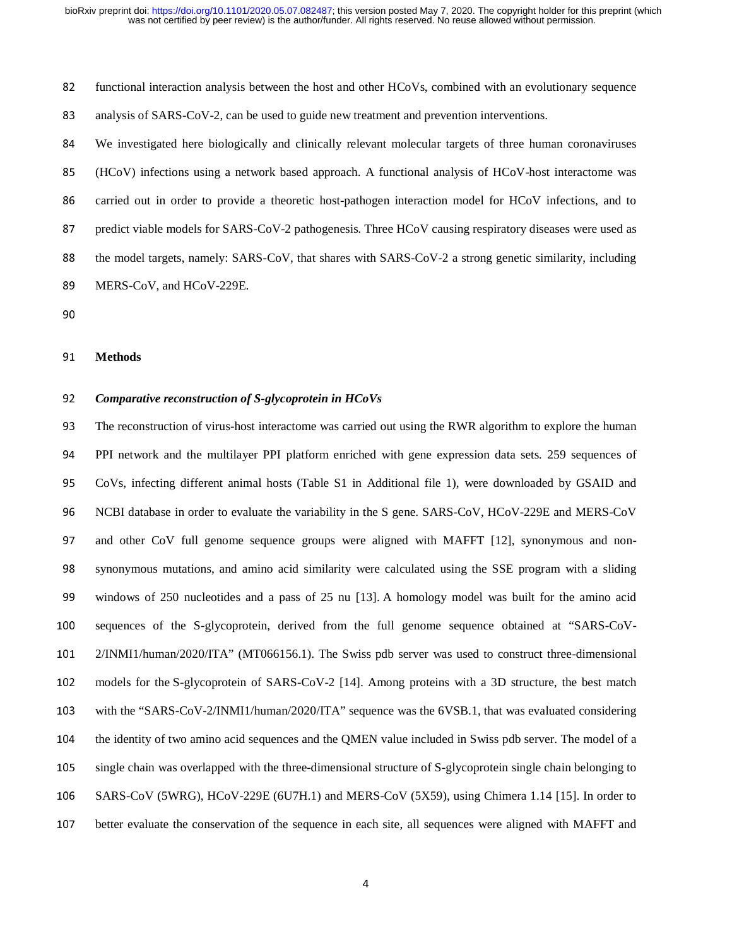82 functional interaction analysis between the host and other HCoVs, combined with an evolutionary sequence

83 analysis of SARS-CoV-2, can be used to guide new treatment and prevention interventions.

<sup>84</sup>We investigated here biologically and clinically relevant molecular targets of three human coronaviruses <sup>85</sup>(HCoV) infections using a network based approach. A functional analysis of HCoV-host interactome was 86 carried out in order to provide a theoretic host-pathogen interaction model for HCoV infections, and to 87 predict viable models for SARS-CoV-2 pathogenesis. Three HCoV causing respiratory diseases were used as 88 the model targets, namely: SARS-CoV, that shares with SARS-CoV-2 a strong genetic similarity, including 89 MERS-CoV, and HCoV-229E.

#### <sup>91</sup>**Methods**

# <sup>92</sup>*Comparative reconstruction of S-glycoprotein in HCoVs*

93 The reconstruction of virus-host interactome was carried out using the RWR algorithm to explore the human <sup>94</sup>PPI network and the multilayer PPI platform enriched with gene expression data sets. 259 sequences of <sup>95</sup>CoVs, infecting different animal hosts (Table S1 in Additional file 1), were downloaded by GSAID and 96 NCBI database in order to evaluate the variability in the S gene. SARS-CoV, HCoV-229E and MERS-CoV 97 and other CoV full genome sequence groups were aligned with MAFFT [12], synonymous and non-<sup>98</sup>synonymous mutations, and amino acid similarity were calculated using the SSE program with a sliding <sup>99</sup>windows of 250 nucleotides and a pass of 25 nu [13]. A homology model was built for the amino acid 100 sequences of the S-glycoprotein, derived from the full genome sequence obtained at "SARS-CoV-<sup>101</sup>2/INMI1/human/2020/ITA" (MT066156.1). The Swiss pdb server was used to construct three-dimensional 102 models for the S-glycoprotein of SARS-CoV-2 [14]. Among proteins with a 3D structure, the best match 103 with the "SARS-CoV-2/INMI1/human/2020/ITA" sequence was the 6VSB.1, that was evaluated considering 104 the identity of two amino acid sequences and the QMEN value included in Swiss pdb server. The model of a <sup>105</sup>single chain was overlapped with the three-dimensional structure of S-glycoprotein single chain belonging to <sup>106</sup>SARS-CoV (5WRG), HCoV-229E (6U7H.1) and MERS-CoV (5X59), using Chimera 1.14 [15]. In order to 107 better evaluate the conservation of the sequence in each site, all sequences were aligned with MAFFT and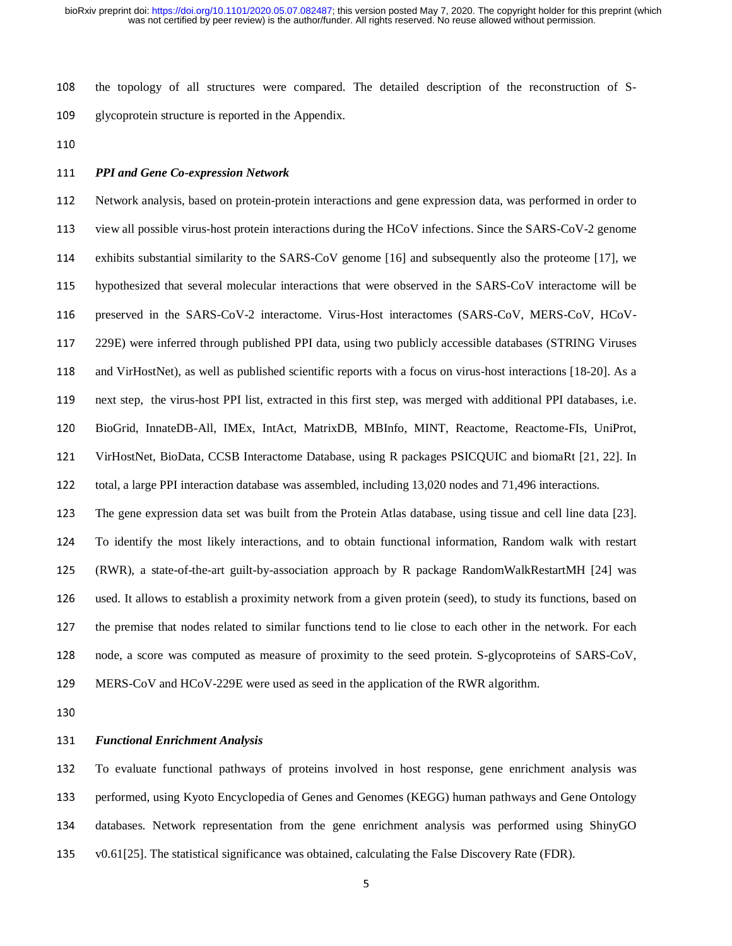108 the topology of all structures were compared. The detailed description of the reconstruction of S-109 glycoprotein structure is reported in the Appendix.

110

# <sup>111</sup>*PPI and Gene Co-expression Network*

<sup>112</sup>Network analysis, based on protein-protein interactions and gene expression data, was performed in order to 113 view all possible virus-host protein interactions during the HCoV infections. Since the SARS-CoV-2 genome 114 exhibits substantial similarity to the SARS-CoV genome [16] and subsequently also the proteome [17], we 115 hypothesized that several molecular interactions that were observed in the SARS-CoV interactome will be 116 preserved in the SARS-CoV-2 interactome. Virus-Host interactomes (SARS-CoV, MERS-CoV, HCoV-<sup>117</sup>229E) were inferred through published PPI data, using two publicly accessible databases (STRING Viruses 118 and VirHostNet), as well as published scientific reports with a focus on virus-host interactions [18-20]. As a 119 next step, the virus-host PPI list, extracted in this first step, was merged with additional PPI databases, i.e. <sup>120</sup>BioGrid, InnateDB-All, IMEx, IntAct, MatrixDB, MBInfo, MINT, Reactome, Reactome-FIs, UniProt, <sup>121</sup>VirHostNet, BioData, CCSB Interactome Database, using R packages PSICQUIC and biomaRt [21, 22]. In 122 total, a large PPI interaction database was assembled, including 13,020 nodes and 71,496 interactions. <sup>123</sup>The gene expression data set was built from the Protein Atlas database, using tissue and cell line data [23]. <sup>124</sup>To identify the most likely interactions, and to obtain functional information, Random walk with restart

<sup>125</sup>(RWR), a state-of-the-art guilt-by-association approach by R package RandomWalkRestartMH [24] was 126 used. It allows to establish a proximity network from a given protein (seed), to study its functions, based on 127 the premise that nodes related to similar functions tend to lie close to each other in the network. For each 128 node, a score was computed as measure of proximity to the seed protein. S-glycoproteins of SARS-CoV,

<sup>129</sup>MERS-CoV and HCoV-229E were used as seed in the application of the RWR algorithm.

#### <sup>131</sup>*Functional Enrichment Analysis*

<sup>132</sup>To evaluate functional pathways of proteins involved in host response, gene enrichment analysis was 133 performed, using Kyoto Encyclopedia of Genes and Genomes (KEGG) human pathways and Gene Ontology <sup>134</sup>databases. Network representation from the gene enrichment analysis was performed using ShinyGO 135 v0.61[25]. The statistical significance was obtained, calculating the False Discovery Rate (FDR).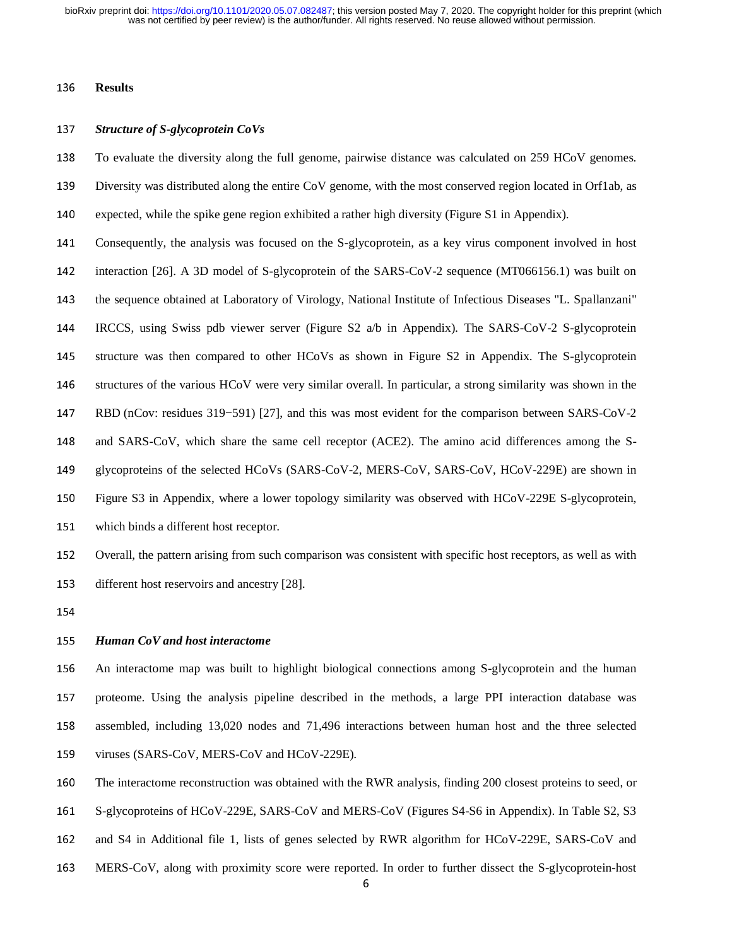## <sup>136</sup>**Results**

## <sup>137</sup>*Structure of S-glycoprotein CoVs*

138 To evaluate the diversity along the full genome, pairwise distance was calculated on 259 HCoV genomes.

- 139 Diversity was distributed along the entire CoV genome, with the most conserved region located in Orf1ab, as
- 140 expected, while the spike gene region exhibited a rather high diversity (Figure S1 in Appendix).
- 141 Consequently, the analysis was focused on the S-glycoprotein, as a key virus component involved in host 142 interaction [26]. A 3D model of S-glycoprotein of the SARS-CoV-2 sequence (MT066156.1) was built on 143 the sequence obtained at Laboratory of Virology, National Institute of Infectious Diseases "L. Spallanzani" <sup>144</sup>IRCCS, using Swiss pdb viewer server (Figure S2 a/b in Appendix). The SARS-CoV-2 S-glycoprotein 145 structure was then compared to other HCoVs as shown in Figure S2 in Appendix. The S-glycoprotein 146 structures of the various HCoV were very similar overall. In particular, a strong similarity was shown in the <sup>147</sup>RBD (nCov: residues 319−591) [27], and this was most evident for the comparison between SARS-CoV-2 148 and SARS-CoV, which share the same cell receptor (ACE2). The amino acid differences among the S-149 glycoproteins of the selected HCoVs (SARS-CoV-2, MERS-CoV, SARS-CoV, HCoV-229E) are shown in 150 Figure S3 in Appendix, where a lower topology similarity was observed with HCoV-229E S-glycoprotein, 151 which binds a different host receptor.

152 Overall, the pattern arising from such comparison was consistent with specific host receptors, as well as with 153 different host reservoirs and ancestry [28].

154

### <sup>155</sup>*Human CoV and host interactome*

<sup>156</sup>An interactome map was built to highlight biological connections among S-glycoprotein and the human 157 proteome. Using the analysis pipeline described in the methods, a large PPI interaction database was <sup>158</sup>assembled, including 13,020 nodes and 71,496 interactions between human host and the three selected 159 viruses (SARS-CoV, MERS-CoV and HCoV-229E).

160 The interactome reconstruction was obtained with the RWR analysis, finding 200 closest proteins to seed, or

161 S-glycoproteins of HCoV-229E, SARS-CoV and MERS-CoV (Figures S4-S6 in Appendix). In Table S2, S3

- 162 and S4 in Additional file 1, lists of genes selected by RWR algorithm for HCoV-229E, SARS-CoV and
- 163 MERS-CoV, along with proximity score were reported. In order to further dissect the S-glycoprotein-host 6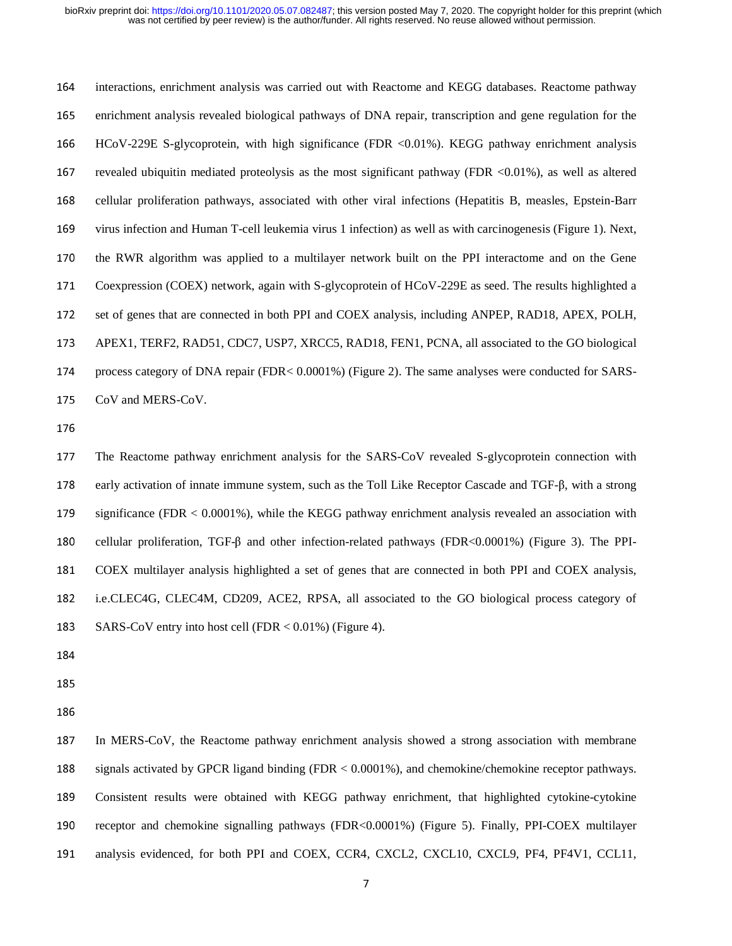164 interactions, enrichment analysis was carried out with Reactome and KEGG databases. Reactome pathway <sup>165</sup>enrichment analysis revealed biological pathways of DNA repair, transcription and gene regulation for the <sup>166</sup>HCoV-229E S-glycoprotein, with high significance (FDR <0.01%). KEGG pathway enrichment analysis 167 revealed ubiquitin mediated proteolysis as the most significant pathway (FDR  $<0.01\%$ ), as well as altered 168 cellular proliferation pathways, associated with other viral infections (Hepatitis B, measles, Epstein-Barr 169 virus infection and Human T-cell leukemia virus 1 infection) as well as with carcinogenesis (Figure 1). Next, 170 the RWR algorithm was applied to a multilayer network built on the PPI interactome and on the Gene 171 Coexpression (COEX) network, again with S-glycoprotein of HCoV-229E as seed. The results highlighted a 172 set of genes that are connected in both PPI and COEX analysis, including ANPEP, RAD18, APEX, POLH, 173 APEX1, TERF2, RAD51, CDC7, USP7, XRCC5, RAD18, FEN1, PCNA, all associated to the GO biological 174 process category of DNA repair (FDR< 0.0001%) (Figure 2). The same analyses were conducted for SARS-175 CoV and MERS-CoV.

177 The Reactome pathway enrichment analysis for the SARS-CoV revealed S-glycoprotein connection with <sup>178</sup>early activation of innate immune system, such as the Toll Like Receptor Cascade and TGF-β, with a strong 179 significance (FDR < 0.0001%), while the KEGG pathway enrichment analysis revealed an association with 180 cellular proliferation, TGF-β and other infection-related pathways (FDR<0.0001%) (Figure 3). The PPI-<sup>181</sup>COEX multilayer analysis highlighted a set of genes that are connected in both PPI and COEX analysis, <sup>182</sup>i.e.CLEC4G, CLEC4M, CD209, ACE2, RPSA, all associated to the GO biological process category of 183 SARS-CoV entry into host cell (FDR  $< 0.01\%$ ) (Figure 4).

- 184
- 185

186

<sup>187</sup>In MERS-CoV, the Reactome pathway enrichment analysis showed a strong association with membrane <sup>188</sup>signals activated by GPCR ligand binding (FDR < 0.0001%), and chemokine/chemokine receptor pathways. <sup>189</sup>Consistent results were obtained with KEGG pathway enrichment, that highlighted cytokine-cytokine 190 receptor and chemokine signalling pathways (FDR<0.0001%) (Figure 5). Finally, PPI-COEX multilayer 191 analysis evidenced, for both PPI and COEX, CCR4, CXCL2, CXCL10, CXCL9, PF4, PF4V1, CCL11,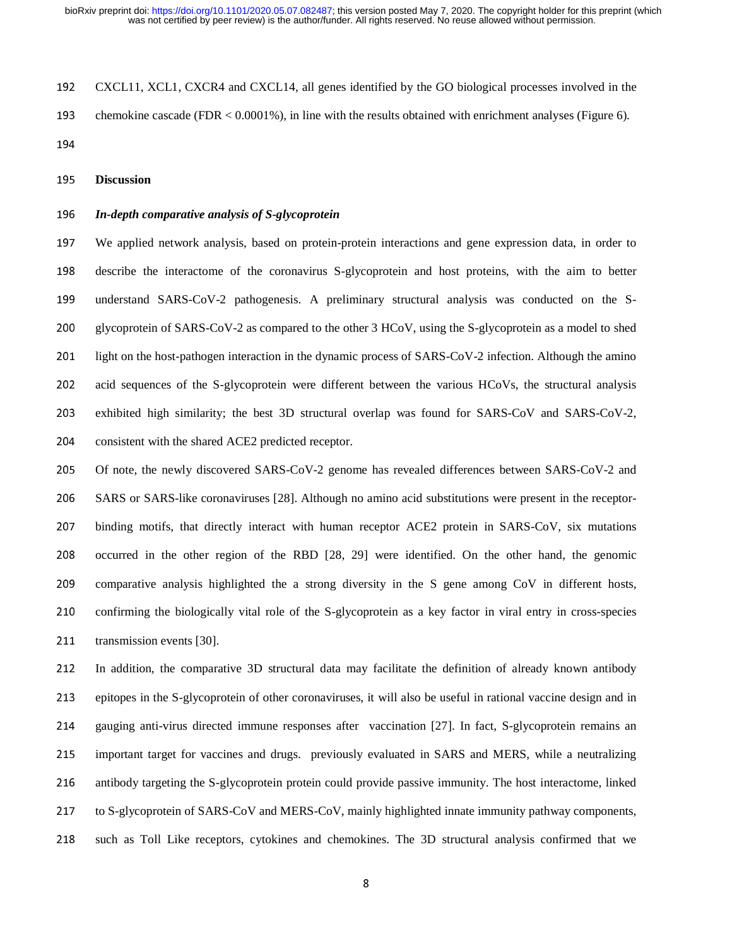<sup>192</sup>CXCL11, XCL1, CXCR4 and CXCL14, all genes identified by the GO biological processes involved in the 193 chemokine cascade (FDR  $< 0.0001\%$ ), in line with the results obtained with enrichment analyses (Figure 6). 194

<sup>195</sup>**Discussion**

## <sup>196</sup>*In-depth comparative analysis of S-glycoprotein*

<sup>197</sup>We applied network analysis, based on protein-protein interactions and gene expression data, in order to <sup>198</sup>describe the interactome of the coronavirus S-glycoprotein and host proteins, with the aim to better 199 understand SARS-CoV-2 pathogenesis. A preliminary structural analysis was conducted on the S-200 glycoprotein of SARS-CoV-2 as compared to the other 3 HCoV, using the S-glycoprotein as a model to shed 201 light on the host-pathogen interaction in the dynamic process of SARS-CoV-2 infection. Although the amino 202 acid sequences of the S-glycoprotein were different between the various HCoVs, the structural analysis 203 exhibited high similarity; the best 3D structural overlap was found for SARS-CoV and SARS-CoV-2, 204 consistent with the shared ACE2 predicted receptor.

205 Of note, the newly discovered SARS-CoV-2 genome has revealed differences between SARS-CoV-2 and 206 SARS or SARS-like coronaviruses [28]. Although no amino acid substitutions were present in the receptor-207 binding motifs, that directly interact with human receptor ACE2 protein in SARS-CoV, six mutations 208 occurred in the other region of the RBD [28, 29] were identified. On the other hand, the genomic 209 comparative analysis highlighted the a strong diversity in the S gene among CoV in different hosts, 210 confirming the biologically vital role of the S-glycoprotein as a key factor in viral entry in cross-species 211 transmission events [30].

212 In addition, the comparative 3D structural data may facilitate the definition of already known antibody <sup>213</sup>epitopes in the S-glycoprotein of other coronaviruses, it will also be useful in rational vaccine design and in 214 gauging anti-virus directed immune responses after vaccination [27]. In fact, S-glycoprotein remains an 215 important target for vaccines and drugs. previously evaluated in SARS and MERS, while a neutralizing 216 antibody targeting the S-glycoprotein protein could provide passive immunity. The host interactome, linked 217 to S-glycoprotein of SARS-CoV and MERS-CoV, mainly highlighted innate immunity pathway components, 218 such as Toll Like receptors, cytokines and chemokines. The 3D structural analysis confirmed that we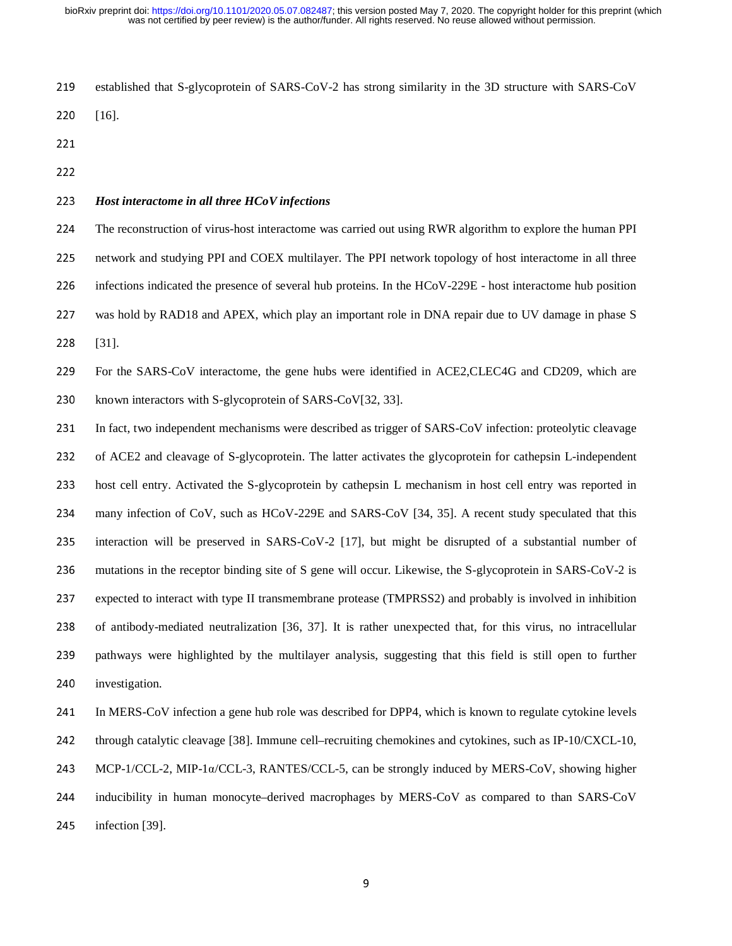- 219 established that S-glycoprotein of SARS-CoV-2 has strong similarity in the 3D structure with SARS-CoV
- 220 [16].
- 
- 

# <sup>223</sup>*Host interactome in all three HCoV infections*

<sup>224</sup>The reconstruction of virus-host interactome was carried out using RWR algorithm to explore the human PPI 225 network and studying PPI and COEX multilayer. The PPI network topology of host interactome in all three 226 infections indicated the presence of several hub proteins. In the HCoV-229E - host interactome hub position 227 was hold by RAD18 and APEX, which play an important role in DNA repair due to UV damage in phase S 228 [31].

229 For the SARS-CoV interactome, the gene hubs were identified in ACE2, CLEC4G and CD209, which are 230 known interactors with S-glycoprotein of SARS-CoV[32, 33].

231 In fact, two independent mechanisms were described as trigger of SARS-CoV infection: proteolytic cleavage 232 of ACE2 and cleavage of S-glycoprotein. The latter activates the glycoprotein for cathepsin L-independent 233 host cell entry. Activated the S-glycoprotein by cathepsin L mechanism in host cell entry was reported in 234 many infection of CoV, such as HCoV-229E and SARS-CoV [34, 35]. A recent study speculated that this 235 interaction will be preserved in SARS-CoV-2 [17], but might be disrupted of a substantial number of 236 mutations in the receptor binding site of S gene will occur. Likewise, the S-glycoprotein in SARS-CoV-2 is <sup>237</sup>expected to interact with type II transmembrane protease (TMPRSS2) and probably is involved in inhibition 238 of antibody-mediated neutralization [36, 37]. It is rather unexpected that, for this virus, no intracellular 239 pathways were highlighted by the multilayer analysis, suggesting that this field is still open to further 240 investigation.

241 In MERS-CoV infection a gene hub role was described for DPP4, which is known to regulate cytokine levels 242 through catalytic cleavage [38]. Immune cell–recruiting chemokines and cytokines, such as IP-10/CXCL-10, 243 MCP-1/CCL-2, MIP-1 $\alpha$ /CCL-3, RANTES/CCL-5, can be strongly induced by MERS-CoV, showing higher 244 inducibility in human monocyte–derived macrophages by MERS-CoV as compared to than SARS-CoV 245 infection [39].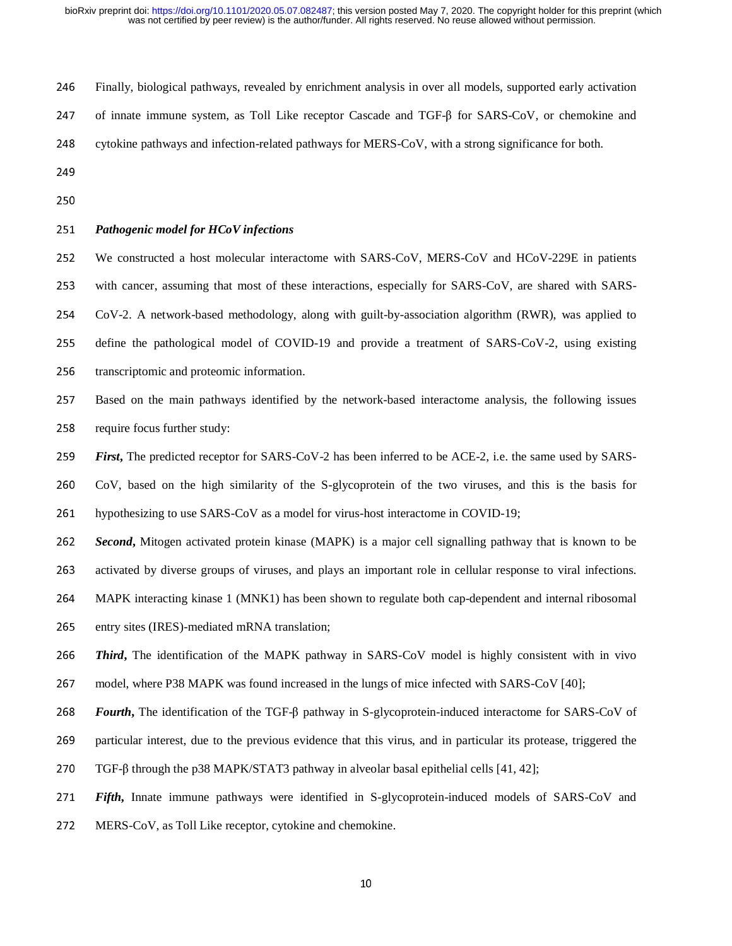| 246 | Finally, biological pathways, revealed by enrichment analysis in over all models, supported early activation |
|-----|--------------------------------------------------------------------------------------------------------------|
| 247 | of innate immune system, as Toll Like receptor Cascade and TGF-B for SARS-CoV, or chemokine and              |
| 248 | cytokine pathways and infection-related pathways for MERS-CoV, with a strong significance for both.          |

- 
- 250

# <sup>251</sup>*Pathogenic model for HCoV infections*

We constructed a host molecular interactome with SARS-CoV, MERS-CoV and HCoV-229E in patients with cancer, assuming that most of these interactions, especially for SARS-CoV, are shared with SARS-CoV-2. A network-based methodology, along with guilt-by-association algorithm (RWR), was applied to define the pathological model of COVID-19 and provide a treatment of SARS-CoV-2, using existing 256 transcriptomic and proteomic information.

<sup>257</sup>Based on the main pathways identified by the network-based interactome analysis, the following issues 258 require focus further study:

259 *First***,** The predicted receptor for SARS-CoV-2 has been inferred to be ACE-2, i.e. the same used by SARS-

<sup>260</sup>CoV, based on the high similarity of the S-glycoprotein of the two viruses, and this is the basis for

261 hypothesizing to use SARS-CoV as a model for virus-host interactome in COVID-19;

<sup>262</sup>*Second***,** Mitogen activated protein kinase (MAPK) is a major cell signalling pathway that is known to be

263 activated by diverse groups of viruses, and plays an important role in cellular response to viral infections.

264 MAPK interacting kinase 1 (MNK1) has been shown to regulate both cap-dependent and internal ribosomal

265 entry sites (IRES)-mediated mRNA translation;

<sup>266</sup>*Third***,** The identification of the MAPK pathway in SARS-CoV model is highly consistent with in vivo 267 model, where P38 MAPK was found increased in the lungs of mice infected with SARS-CoV [40];

<sup>268</sup>*Fourth***,** The identification of the TGF-β pathway in S-glycoprotein-induced interactome for SARS-CoV of

269 particular interest, due to the previous evidence that this virus, and in particular its protease, triggered the

270 TGF-β through the p38 MAPK/STAT3 pathway in alveolar basal epithelial cells  $[41, 42]$ ;

<sup>271</sup>*Fifth***,** Innate immune pathways were identified in S-glycoprotein-induced models of SARS-CoV and

272 MERS-CoV, as Toll Like receptor, cytokine and chemokine.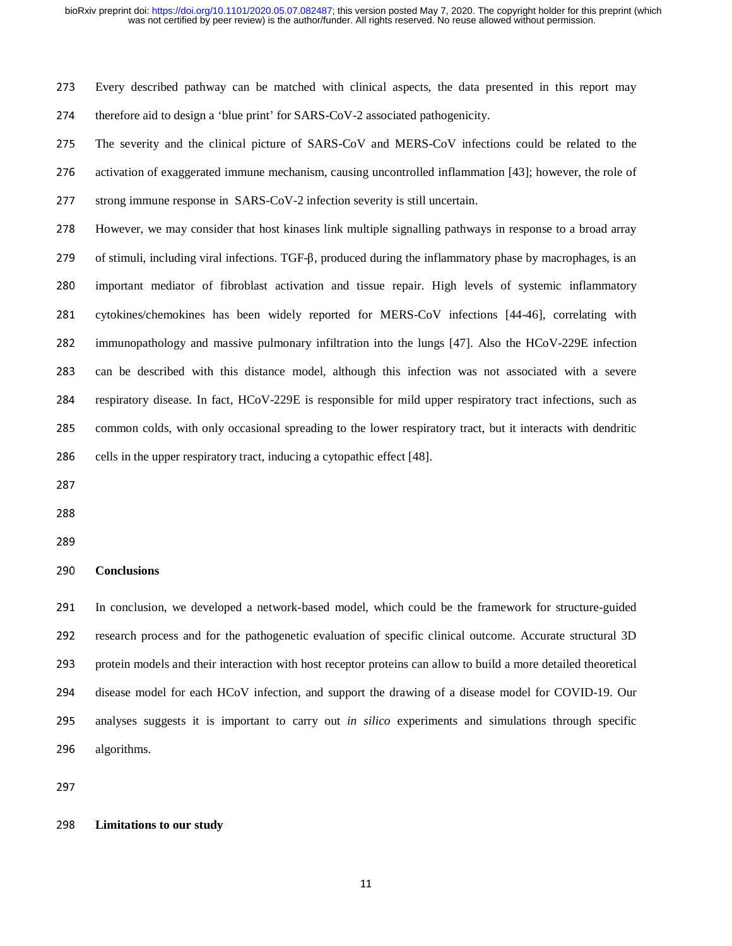<sup>273</sup>Every described pathway can be matched with clinical aspects, the data presented in this report may 274 therefore aid to design a 'blue print' for SARS-CoV-2 associated pathogenicity.

275 The severity and the clinical picture of SARS-CoV and MERS-CoV infections could be related to the 276 activation of exaggerated immune mechanism, causing uncontrolled inflammation [43]; however, the role of 277 strong immune response in SARS-CoV-2 infection severity is still uncertain.

<sup>278</sup>However, we may consider that host kinases link multiple signalling pathways in response to a broad array 279 of stimuli, including viral infections. TGF-β, produced during the inflammatory phase by macrophages, is an 280 important mediator of fibroblast activation and tissue repair. High levels of systemic inflammatory 281 cytokines/chemokines has been widely reported for MERS-CoV infections [44-46], correlating with 282 immunopathology and massive pulmonary infiltration into the lungs [47]. Also the HCoV-229E infection 283 can be described with this distance model, although this infection was not associated with a severe 284 respiratory disease. In fact, HCoV-229E is responsible for mild upper respiratory tract infections, such as 285 common colds, with only occasional spreading to the lower respiratory tract, but it interacts with dendritic 286 cells in the upper respiratory tract, inducing a cytopathic effect [48].

287

288

## <sup>290</sup>**Conclusions**

<sup>291</sup>In conclusion, we developed a network-based model, which could be the framework for structure-guided 292 research process and for the pathogenetic evaluation of specific clinical outcome. Accurate structural 3D 293 protein models and their interaction with host receptor proteins can allow to build a more detailed theoretical 294 disease model for each HCoV infection, and support the drawing of a disease model for COVID-19. Our <sup>295</sup>analyses suggests it is important to carry out *in silico* experiments and simulations through specific 296 algorithms.

297

# <sup>298</sup>**Limitations to our study**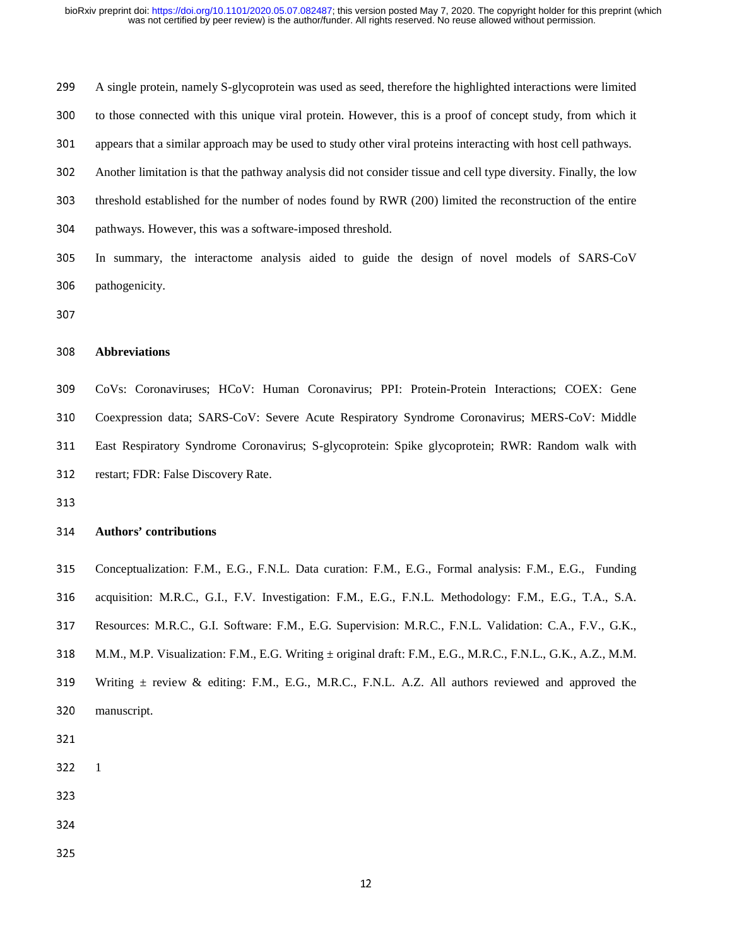<sup>299</sup>A single protein, namely S-glycoprotein was used as seed, therefore the highlighted interactions were limited 300 to those connected with this unique viral protein. However, this is a proof of concept study, from which it 301 appears that a similar approach may be used to study other viral proteins interacting with host cell pathways. <sup>302</sup>Another limitation is that the pathway analysis did not consider tissue and cell type diversity. Finally, the low 303 threshold established for the number of nodes found by RWR (200) limited the reconstruction of the entire 304 pathways. However, this was a software-imposed threshold. <sup>305</sup>In summary, the interactome analysis aided to guide the design of novel models of SARS-CoV

- 306 pathogenicity.
- 

# <sup>308</sup>**Abbreviations**

<sup>309</sup>CoVs: Coronaviruses; HCoV: Human Coronavirus; PPI: Protein-Protein Interactions; COEX: Gene 310 Coexpression data; SARS-CoV: Severe Acute Respiratory Syndrome Coronavirus; MERS-CoV: Middle 311 East Respiratory Syndrome Coronavirus; S-glycoprotein: Spike glycoprotein; RWR: Random walk with 312 restart; FDR: False Discovery Rate.

313

# <sup>314</sup>**Authors' contributions**

<sup>315</sup>Conceptualization: F.M., E.G., F.N.L. Data curation: F.M., E.G., Formal analysis: F.M., E.G., Funding 316 acquisition: M.R.C., G.I., F.V. Investigation: F.M., E.G., F.N.L. Methodology: F.M., E.G., T.A., S.A. 317 Resources: M.R.C., G.I. Software: F.M., E.G. Supervision: M.R.C., F.N.L. Validation: C.A., F.V., G.K., 318 M.M., M.P. Visualization: F.M., E.G. Writing ± original draft: F.M., E.G., M.R.C., F.N.L., G.K., A.Z., M.M. 319 Writing  $\pm$  review & editing: F.M., E.G., M.R.C., F.N.L. A.Z. All authors reviewed and approved the

- 320 manuscript.
- 321
- 322 1
- 
- 
- 
- 325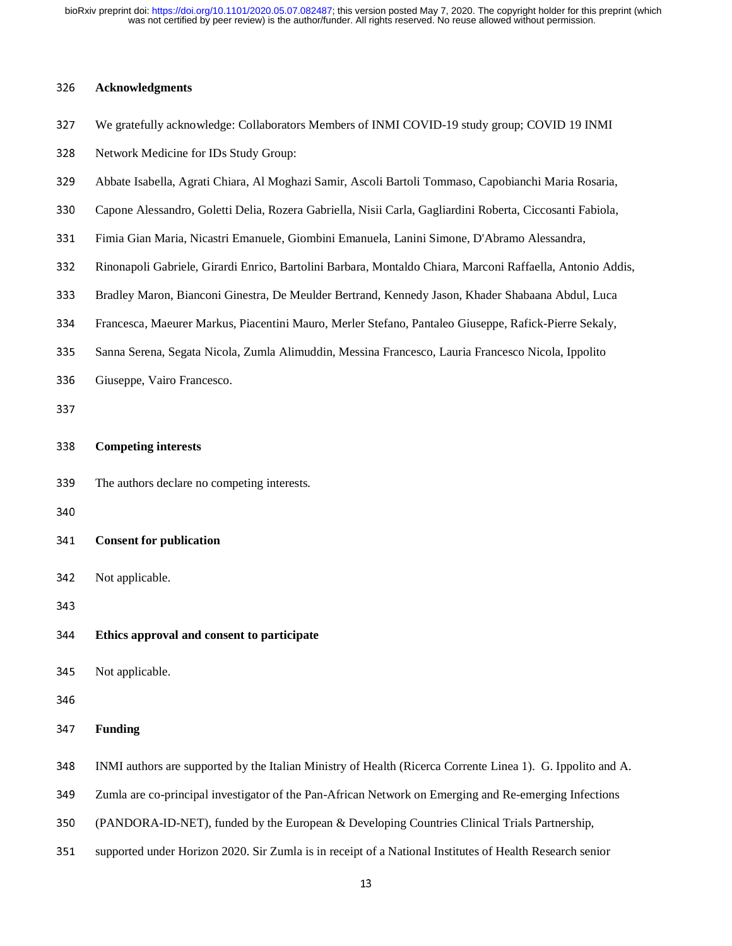# <sup>326</sup>**Acknowledgments**

- <sup>327</sup>We gratefully acknowledge: Collaborators Members of INMI COVID-19 study group; COVID 19 INMI
- 328 Network Medicine for IDs Study Group:
- <sup>329</sup>Abbate Isabella, Agrati Chiara, Al Moghazi Samir, Ascoli Bartoli Tommaso, Capobianchi Maria Rosaria,
- 330 Capone Alessandro, Goletti Delia, Rozera Gabriella, Nisii Carla, Gagliardini Roberta, Ciccosanti Fabiola,
- 331 Fimia Gian Maria, Nicastri Emanuele, Giombini Emanuela, Lanini Simone, D'Abramo Alessandra,
- <sup>332</sup>Rinonapoli Gabriele, Girardi Enrico, Bartolini Barbara, Montaldo Chiara, Marconi Raffaella, Antonio Addis,
- <sup>333</sup>Bradley Maron, Bianconi Ginestra, De Meulder Bertrand, Kennedy Jason, Khader Shabaana Abdul, Luca
- <sup>334</sup>Francesca, Maeurer Markus, Piacentini Mauro, Merler Stefano, Pantaleo Giuseppe, Rafick-Pierre Sekaly,
- <sup>335</sup>Sanna Serena, Segata Nicola, Zumla Alimuddin, Messina Francesco, Lauria Francesco Nicola, Ippolito
- 336 Giuseppe, Vairo Francesco.
- 

# <sup>338</sup>**Competing interests**

- 339 The authors declare no competing interests.
- 
- <sup>341</sup>**Consent for publication**
- 342 Not applicable.

- <sup>344</sup>**Ethics approval and consent to participate**
- 345 Not applicable.

- <sup>347</sup>**Funding**
- <sup>348</sup>INMI authors are supported by the Italian Ministry of Health (Ricerca Corrente Linea 1). G. Ippolito and A.
- 349 Zumla are co-principal investigator of the Pan-African Network on Emerging and Re-emerging Infections
- <sup>350</sup>(PANDORA-ID-NET), funded by the European & Developing Countries Clinical Trials Partnership,
- 351 supported under Horizon 2020. Sir Zumla is in receipt of a National Institutes of Health Research senior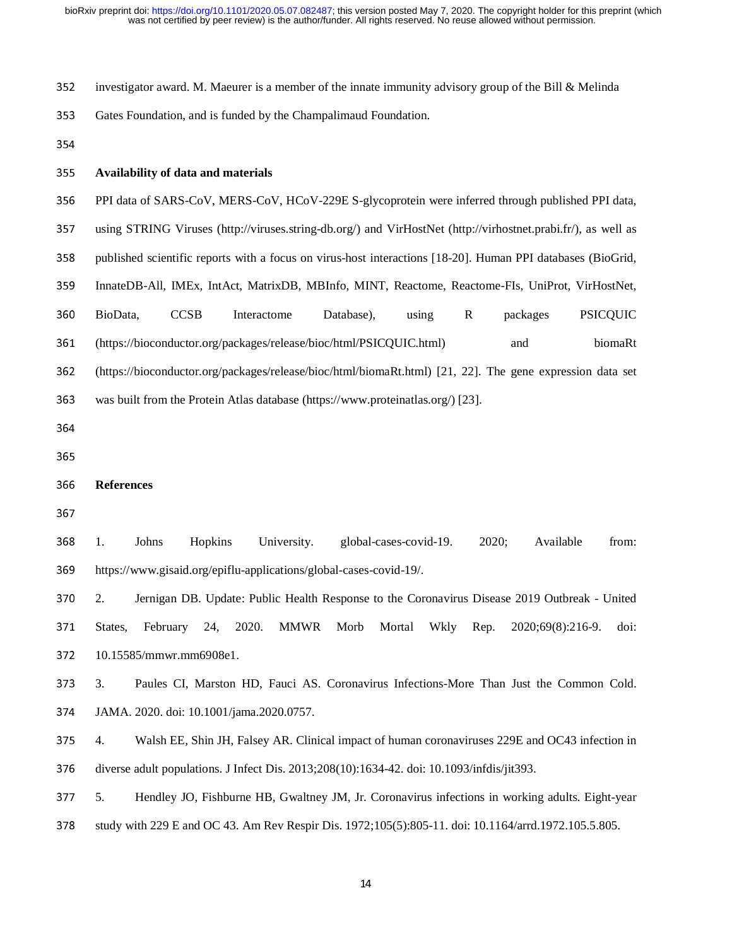| 352 | investigator award. M. Maeurer is a member of the innate immunity advisory group of the Bill & Melinda        |
|-----|---------------------------------------------------------------------------------------------------------------|
| 353 | Gates Foundation, and is funded by the Champalimaud Foundation.                                               |
| 354 |                                                                                                               |
| 355 | Availability of data and materials                                                                            |
| 356 | PPI data of SARS-CoV, MERS-CoV, HCoV-229E S-glycoprotein were inferred through published PPI data,            |
| 357 | using STRING Viruses (http://viruses.string-db.org/) and VirHostNet (http://virhostnet.prabi.fr/), as well as |
| 358 | published scientific reports with a focus on virus-host interactions [18-20]. Human PPI databases (BioGrid,   |
| 359 | InnateDB-All, IMEx, IntAct, MatrixDB, MBInfo, MINT, Reactome, Reactome-FIs, UniProt, VirHostNet,              |
| 360 | <b>CCSB</b><br><b>PSICQUIC</b><br>BioData,<br>Interactome<br>Database),<br>$\mathbf R$<br>using<br>packages   |
| 361 | biomaRt<br>(https://bioconductor.org/packages/release/bioc/html/PSICQUIC.html)<br>and                         |
| 362 | (https://bioconductor.org/packages/release/bioc/html/biomaRt.html) [21, 22]. The gene expression data set     |
| 363 | was built from the Protein Atlas database (https://www.proteinatlas.org/) [23].                               |
| 364 |                                                                                                               |
| 365 |                                                                                                               |
| 366 | <b>References</b>                                                                                             |
| 367 |                                                                                                               |
| 368 | Johns<br>global-cases-covid-19.<br>2020;<br>Available<br>1.<br>Hopkins<br>University.<br>from:                |
| 369 | https://www.gisaid.org/epiflu-applications/global-cases-covid-19/.                                            |
| 370 | Jernigan DB. Update: Public Health Response to the Coronavirus Disease 2019 Outbreak - United<br>2.           |
| 371 | February<br>2020.<br>MMWR<br>Wkly<br>States,<br>24,<br>Morb<br>Mortal<br>Rep.<br>2020;69(8):216-9.<br>doi:    |
| 372 | 10.15585/mmwr.mm6908e1.                                                                                       |
| 373 | 3.<br>Paules CI, Marston HD, Fauci AS. Coronavirus Infections-More Than Just the Common Cold.                 |
| 374 | JAMA. 2020. doi: 10.1001/jama.2020.0757.                                                                      |
| 375 | Walsh EE, Shin JH, Falsey AR. Clinical impact of human coronaviruses 229E and OC43 infection in<br>4.         |
| 376 | diverse adult populations. J Infect Dis. 2013;208(10):1634-42. doi: 10.1093/infdis/jit393.                    |

<sup>377</sup>5. Hendley JO, Fishburne HB, Gwaltney JM, Jr. Coronavirus infections in working adults. Eight-year

378 study with 229 E and OC 43. Am Rev Respir Dis. 1972;105(5):805-11. doi: 10.1164/arrd.1972.105.5.805.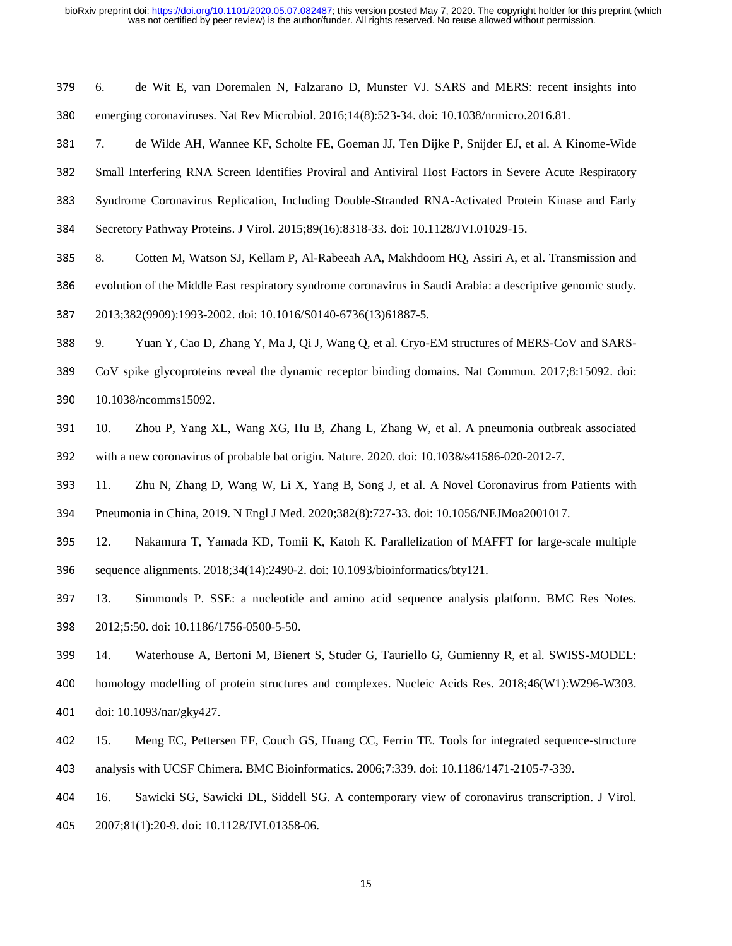| 379 | 6.  | de Wit E, van Doremalen N, Falzarano D, Munster VJ. SARS and MERS: recent insights into                     |
|-----|-----|-------------------------------------------------------------------------------------------------------------|
| 380 |     | emerging coronaviruses. Nat Rev Microbiol. 2016;14(8):523-34. doi: 10.1038/nrmicro.2016.81.                 |
| 381 | 7.  | de Wilde AH, Wannee KF, Scholte FE, Goeman JJ, Ten Dijke P, Snijder EJ, et al. A Kinome-Wide                |
| 382 |     | Small Interfering RNA Screen Identifies Proviral and Antiviral Host Factors in Severe Acute Respiratory     |
| 383 |     | Syndrome Coronavirus Replication, Including Double-Stranded RNA-Activated Protein Kinase and Early          |
| 384 |     | Secretory Pathway Proteins. J Virol. 2015;89(16):8318-33. doi: 10.1128/JVI.01029-15.                        |
| 385 | 8.  | Cotten M, Watson SJ, Kellam P, Al-Rabeeah AA, Makhdoom HQ, Assiri A, et al. Transmission and                |
| 386 |     | evolution of the Middle East respiratory syndrome coronavirus in Saudi Arabia: a descriptive genomic study. |
| 387 |     | 2013;382(9909):1993-2002. doi: 10.1016/S0140-6736(13)61887-5.                                               |
| 388 | 9.  | Yuan Y, Cao D, Zhang Y, Ma J, Qi J, Wang Q, et al. Cryo-EM structures of MERS-CoV and SARS-                 |
| 389 |     | CoV spike glycoproteins reveal the dynamic receptor binding domains. Nat Commun. 2017;8:15092. doi:         |
| 390 |     | 10.1038/ncomms15092.                                                                                        |
| 391 | 10. | Zhou P, Yang XL, Wang XG, Hu B, Zhang L, Zhang W, et al. A pneumonia outbreak associated                    |
| 392 |     | with a new coronavirus of probable bat origin. Nature. 2020. doi: 10.1038/s41586-020-2012-7.                |
| 393 | 11. | Zhu N, Zhang D, Wang W, Li X, Yang B, Song J, et al. A Novel Coronavirus from Patients with                 |
| 394 |     | Pneumonia in China, 2019. N Engl J Med. 2020;382(8):727-33. doi: 10.1056/NEJMoa2001017.                     |
| 395 | 12. | Nakamura T, Yamada KD, Tomii K, Katoh K. Parallelization of MAFFT for large-scale multiple                  |
| 396 |     | sequence alignments. 2018;34(14):2490-2. doi: 10.1093/bioinformatics/bty121.                                |
| 397 | 13. | Simmonds P. SSE: a nucleotide and amino acid sequence analysis platform. BMC Res Notes.                     |
| 398 |     | 2012;5:50. doi: 10.1186/1756-0500-5-50.                                                                     |
| 399 | 14. | Waterhouse A, Bertoni M, Bienert S, Studer G, Tauriello G, Gumienny R, et al. SWISS-MODEL:                  |
| 400 |     | homology modelling of protein structures and complexes. Nucleic Acids Res. 2018;46(W1):W296-W303.           |
| 401 |     | doi: 10.1093/nar/gky427.                                                                                    |
| 402 | 15. | Meng EC, Pettersen EF, Couch GS, Huang CC, Ferrin TE. Tools for integrated sequence-structure               |
| 403 |     | analysis with UCSF Chimera. BMC Bioinformatics. 2006;7:339. doi: 10.1186/1471-2105-7-339.                   |
| 404 | 16. | Sawicki SG, Sawicki DL, Siddell SG. A contemporary view of coronavirus transcription. J Virol.              |

<sup>405</sup>2007;81(1):20-9. doi: 10.1128/JVI.01358-06.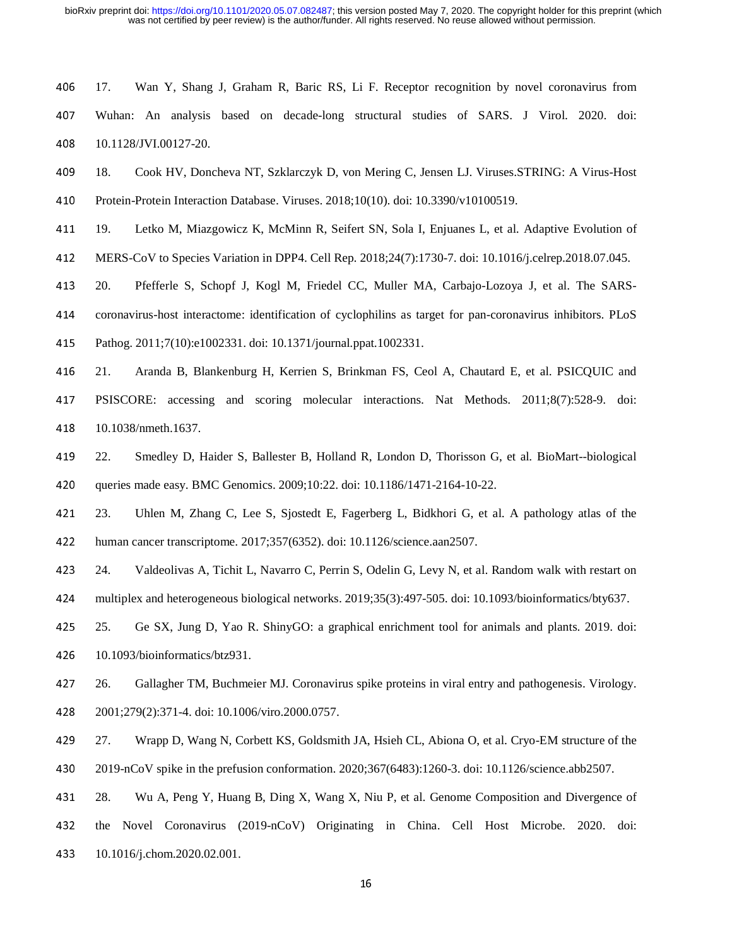- 406 17. Wan Y, Shang J, Graham R, Baric RS, Li F. Receptor recognition by novel coronavirus from <sup>407</sup>Wuhan: An analysis based on decade-long structural studies of SARS. J Virol. 2020. doi: 408 10.1128/JVI.00127-20.
- <sup>409</sup>18. Cook HV, Doncheva NT, Szklarczyk D, von Mering C, Jensen LJ. Viruses.STRING: A Virus-Host
- 410 Protein-Protein Interaction Database. Viruses. 2018;10(10). doi: 10.3390/v10100519.
- 411 19. Letko M, Miazgowicz K, McMinn R, Seifert SN, Sola I, Enjuanes L, et al. Adaptive Evolution of
- <sup>412</sup>MERS-CoV to Species Variation in DPP4. Cell Rep. 2018;24(7):1730-7. doi: 10.1016/j.celrep.2018.07.045.
- 413 20. Pfefferle S, Schopf J, Kogl M, Friedel CC, Muller MA, Carbajo-Lozoya J, et al. The SARS-

414 coronavirus-host interactome: identification of cyclophilins as target for pan-coronavirus inhibitors. PLoS

<sup>415</sup>Pathog. 2011;7(10):e1002331. doi: 10.1371/journal.ppat.1002331.

<sup>416</sup>21. Aranda B, Blankenburg H, Kerrien S, Brinkman FS, Ceol A, Chautard E, et al. PSICQUIC and 417 PSISCORE: accessing and scoring molecular interactions. Nat Methods. 2011;8(7):528-9. doi: 418 10.1038/nmeth.1637.

<sup>419</sup>22. Smedley D, Haider S, Ballester B, Holland R, London D, Thorisson G, et al. BioMart--biological 420 queries made easy. BMC Genomics. 2009;10:22. doi: 10.1186/1471-2164-10-22.

<sup>421</sup>23. Uhlen M, Zhang C, Lee S, Sjostedt E, Fagerberg L, Bidkhori G, et al. A pathology atlas of the <sup>422</sup>human cancer transcriptome. 2017;357(6352). doi: 10.1126/science.aan2507.

423 24. Valdeolivas A, Tichit L, Navarro C, Perrin S, Odelin G, Levy N, et al. Random walk with restart on 424 multiplex and heterogeneous biological networks. 2019;35(3):497-505. doi: 10.1093/bioinformatics/bty637.

425 25. Ge SX, Jung D, Yao R. ShinyGO: a graphical enrichment tool for animals and plants. 2019. doi: <sup>426</sup>10.1093/bioinformatics/btz931.

<sup>427</sup>26. Gallagher TM, Buchmeier MJ. Coronavirus spike proteins in viral entry and pathogenesis. Virology. <sup>428</sup>2001;279(2):371-4. doi: 10.1006/viro.2000.0757.

<sup>429</sup>27. Wrapp D, Wang N, Corbett KS, Goldsmith JA, Hsieh CL, Abiona O, et al. Cryo-EM structure of the <sup>430</sup>2019-nCoV spike in the prefusion conformation. 2020;367(6483):1260-3. doi: 10.1126/science.abb2507.

<sup>431</sup>28. Wu A, Peng Y, Huang B, Ding X, Wang X, Niu P, et al. Genome Composition and Divergence of

432 the Novel Coronavirus (2019-nCoV) Originating in China. Cell Host Microbe. 2020. doi:

<sup>433</sup>10.1016/j.chom.2020.02.001.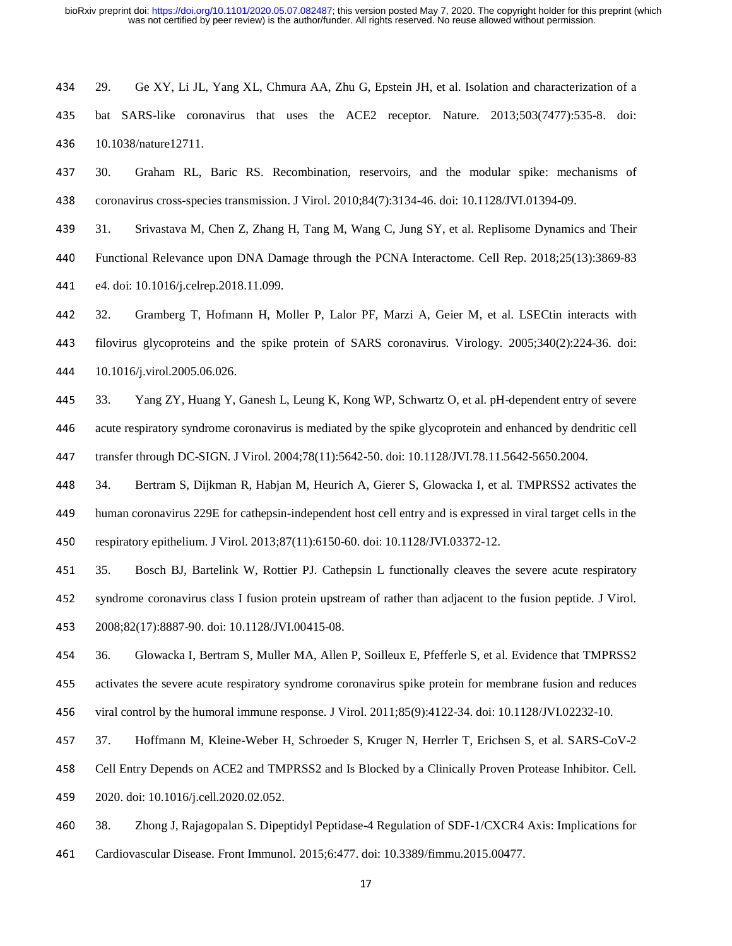29. Ge XY, Li JL, Yang XL, Chmura AA, Zhu G, Epstein JH, et al. Isolation and characterization of a 435 bat SARS-like coronavirus that uses the ACE2 receptor. Nature. 2013;503(7477):535-8. doi: 436 10.1038/nature12711.

30. Graham RL, Baric RS. Recombination, reservoirs, and the modular spike: mechanisms of coronavirus cross-species transmission. J Virol. 2010;84(7):3134-46. doi: 10.1128/JVI.01394-09.

31. Srivastava M, Chen Z, Zhang H, Tang M, Wang C, Jung SY, et al. Replisome Dynamics and Their

Functional Relevance upon DNA Damage through the PCNA Interactome. Cell Rep. 2018;25(13):3869-83 441 e4. doi: 10.1016/j.celrep.2018.11.099.

32. Gramberg T, Hofmann H, Moller P, Lalor PF, Marzi A, Geier M, et al. LSECtin interacts with filovirus glycoproteins and the spike protein of SARS coronavirus. Virology. 2005;340(2):224-36. doi: 10.1016/j.virol.2005.06.026.

33. Yang ZY, Huang Y, Ganesh L, Leung K, Kong WP, Schwartz O, et al. pH-dependent entry of severe acute respiratory syndrome coronavirus is mediated by the spike glycoprotein and enhanced by dendritic cell transfer through DC-SIGN. J Virol. 2004;78(11):5642-50. doi: 10.1128/JVI.78.11.5642-5650.2004.

34. Bertram S, Dijkman R, Habjan M, Heurich A, Gierer S, Glowacka I, et al. TMPRSS2 activates the human coronavirus 229E for cathepsin-independent host cell entry and is expressed in viral target cells in the 450 respiratory epithelium. J Virol. 2013;87(11):6150-60. doi: 10.1128/JVI.03372-12.

35. Bosch BJ, Bartelink W, Rottier PJ. Cathepsin L functionally cleaves the severe acute respiratory 452 syndrome coronavirus class I fusion protein upstream of rather than adjacent to the fusion peptide. J Virol. 2008;82(17):8887-90. doi: 10.1128/JVI.00415-08.

36. Glowacka I, Bertram S, Muller MA, Allen P, Soilleux E, Pfefferle S, et al. Evidence that TMPRSS2 455 activates the severe acute respiratory syndrome coronavirus spike protein for membrane fusion and reduces 456 viral control by the humoral immune response. J Virol. 2011;85(9):4122-34. doi: 10.1128/JVI.02232-10.

37. Hoffmann M, Kleine-Weber H, Schroeder S, Kruger N, Herrler T, Erichsen S, et al. SARS-CoV-2

Cell Entry Depends on ACE2 and TMPRSS2 and Is Blocked by a Clinically Proven Protease Inhibitor. Cell.

459 2020. doi: 10.1016/j.cell.2020.02.052.

38. Zhong J, Rajagopalan S. Dipeptidyl Peptidase-4 Regulation of SDF-1/CXCR4 Axis: Implications for Cardiovascular Disease. Front Immunol. 2015;6:477. doi: 10.3389/fimmu.2015.00477.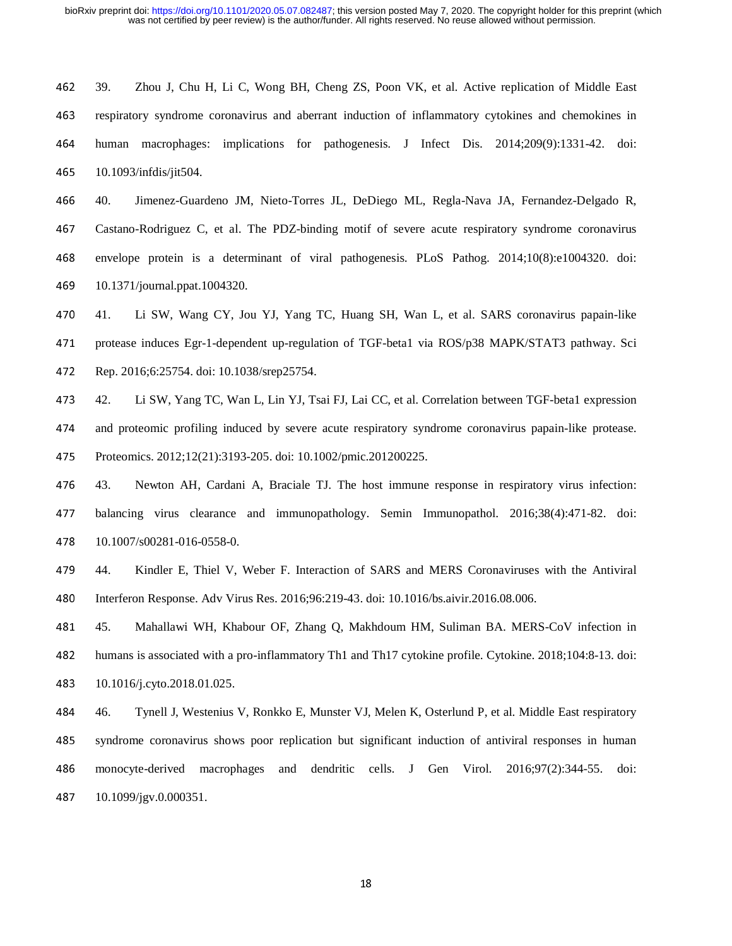39. Zhou J, Chu H, Li C, Wong BH, Cheng ZS, Poon VK, et al. Active replication of Middle East respiratory syndrome coronavirus and aberrant induction of inflammatory cytokines and chemokines in human macrophages: implications for pathogenesis. J Infect Dis. 2014;209(9):1331-42. doi: 10.1093/infdis/jit504.

40. Jimenez-Guardeno JM, Nieto-Torres JL, DeDiego ML, Regla-Nava JA, Fernandez-Delgado R, Castano-Rodriguez C, et al. The PDZ-binding motif of severe acute respiratory syndrome coronavirus envelope protein is a determinant of viral pathogenesis. PLoS Pathog. 2014;10(8):e1004320. doi: 10.1371/journal.ppat.1004320.

41. Li SW, Wang CY, Jou YJ, Yang TC, Huang SH, Wan L, et al. SARS coronavirus papain-like 471 protease induces Egr-1-dependent up-regulation of TGF-beta1 via ROS/p38 MAPK/STAT3 pathway. Sci Rep. 2016;6:25754. doi: 10.1038/srep25754.

473 42. Li SW, Yang TC, Wan L, Lin YJ, Tsai FJ, Lai CC, et al. Correlation between TGF-beta1 expression and proteomic profiling induced by severe acute respiratory syndrome coronavirus papain-like protease. 475 Proteomics. 2012;12(21):3193-205. doi: 10.1002/pmic.201200225.

43. Newton AH, Cardani A, Braciale TJ. The host immune response in respiratory virus infection: balancing virus clearance and immunopathology. Semin Immunopathol. 2016;38(4):471-82. doi: 478 10.1007/s00281-016-0558-0.

44. Kindler E, Thiel V, Weber F. Interaction of SARS and MERS Coronaviruses with the Antiviral 480 Interferon Response. Adv Virus Res. 2016;96:219-43. doi: 10.1016/bs.aivir.2016.08.006.

45. Mahallawi WH, Khabour OF, Zhang Q, Makhdoum HM, Suliman BA. MERS-CoV infection in humans is associated with a pro-inflammatory Th1 and Th17 cytokine profile. Cytokine. 2018;104:8-13. doi: 10.1016/j.cyto.2018.01.025.

46. Tynell J, Westenius V, Ronkko E, Munster VJ, Melen K, Osterlund P, et al. Middle East respiratory 485 syndrome coronavirus shows poor replication but significant induction of antiviral responses in human monocyte-derived macrophages and dendritic cells. J Gen Virol. 2016;97(2):344-55. doi: 10.1099/jgv.0.000351.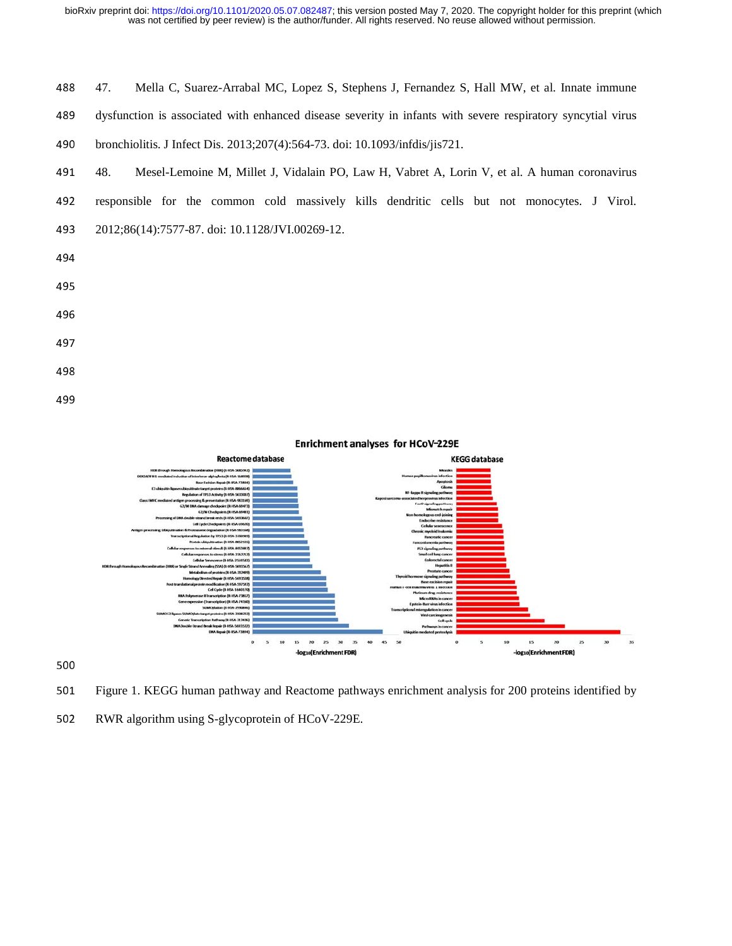bioRxiv preprint doi: [https://doi.org/10.1101/2020.05.07.082487;](https://doi.org/10.1101/2020.05.07.082487) this version posted May 7, 2020. The copyright holder for this preprint (which was not certified by peer review) is the author/funder. All rights reserved. N

|     | was not certified by peer review) is the author/funder. All rights reserved. No reuse allowed without permission. |
|-----|-------------------------------------------------------------------------------------------------------------------|
|     |                                                                                                                   |
| 488 | Mella C, Suarez-Arrabal MC, Lopez S, Stephens J, Fernandez S, Hall MW, et al. Innate immune<br>47.                |
| 489 | dysfunction is associated with enhanced disease severity in infants with severe respiratory syncytial virus       |
| 490 | bronchiolitis. J Infect Dis. 2013;207(4):564-73. doi: 10.1093/infdis/jis721.                                      |
| 491 | Mesel-Lemoine M, Millet J, Vidalain PO, Law H, Vabret A, Lorin V, et al. A human coronavirus<br>48.               |
| 492 | responsible for the common cold massively kills dendritic cells but not monocytes. J Virol.                       |
| 493 | 2012;86(14):7577-87. doi: 10.1128/JVI.00269-12.                                                                   |
| 494 |                                                                                                                   |
| 495 |                                                                                                                   |
| 496 |                                                                                                                   |
| 497 |                                                                                                                   |
| 498 |                                                                                                                   |

499





502 RWR algorithm using S-glycoprotein of HCoV-229E.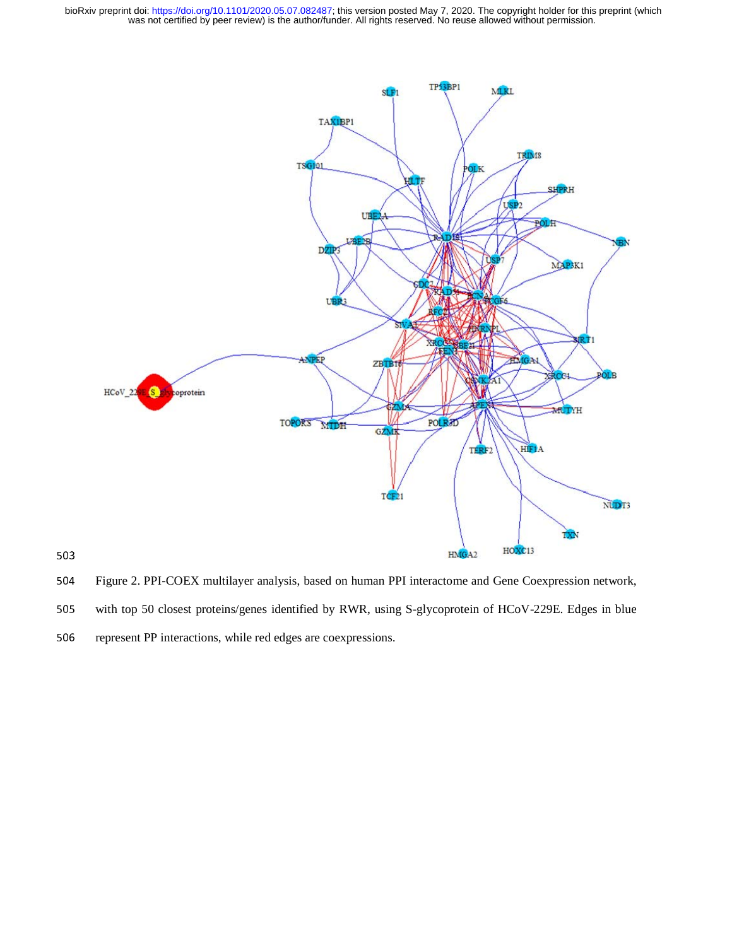bioRxiv preprint doi: [https://doi.org/10.1101/2020.05.07.082487;](https://doi.org/10.1101/2020.05.07.082487) this version posted May 7, 2020. The copyright holder for this preprint (which was not certified by peer review) is the author/funder. All rights reserved. N



504 Figure 2. PPI-COEX multilayer analysis, based on human PPI interactome and Gene Coexpression network,

505 with top 50 closest proteins/genes identified by RWR, using S-glycoprotein of HCoV-229E. Edges in blue

506 represent PP interactions, while red edges are coexpressions.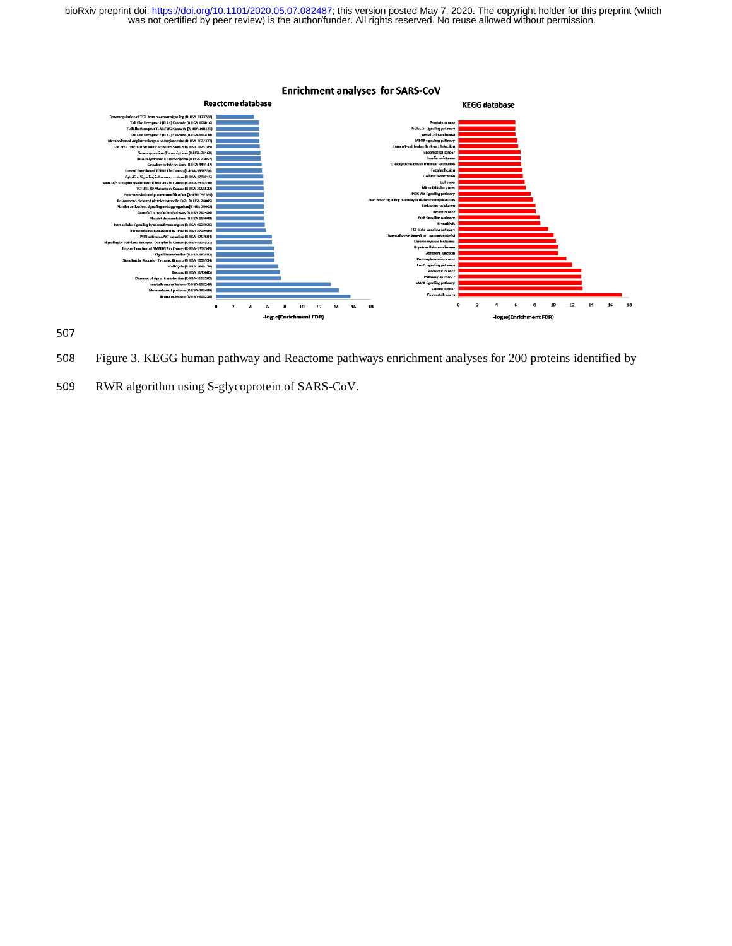

508 Figure 3. KEGG human pathway and Reactome pathways enrichment analyses for 200 proteins identified by

509 RWR algorithm using S-glycoprotein of SARS-CoV.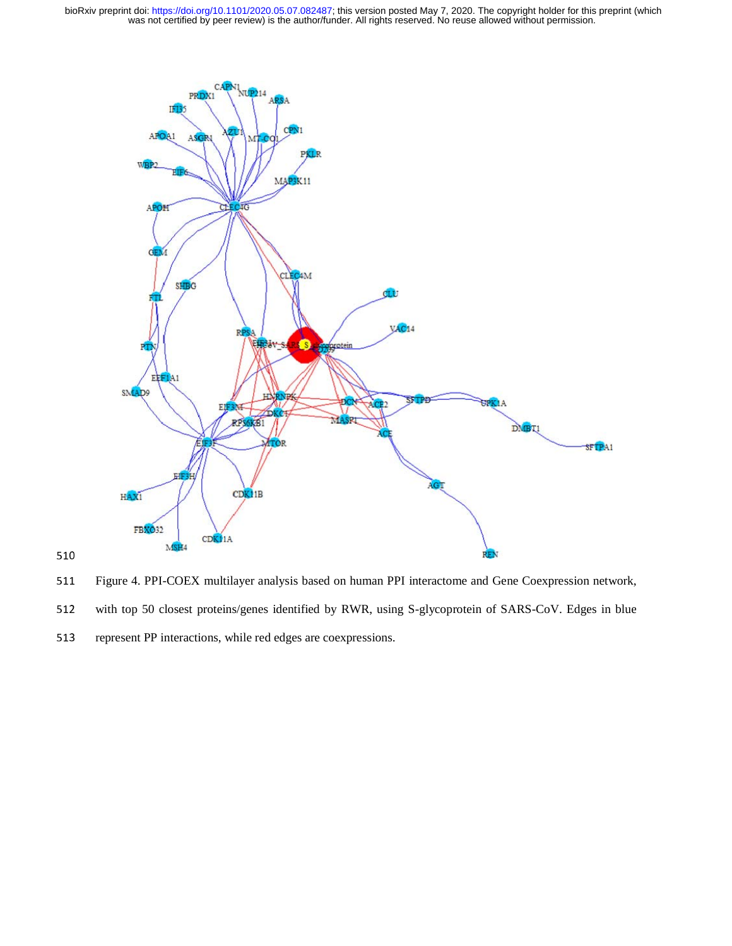



511 Figure 4. PPI-COEX multilayer analysis based on human PPI interactome and Gene Coexpression network,

- 512 with top 50 closest proteins/genes identified by RWR, using S-glycoprotein of SARS-CoV. Edges in blue
- 513 represent PP interactions, while red edges are coexpressions.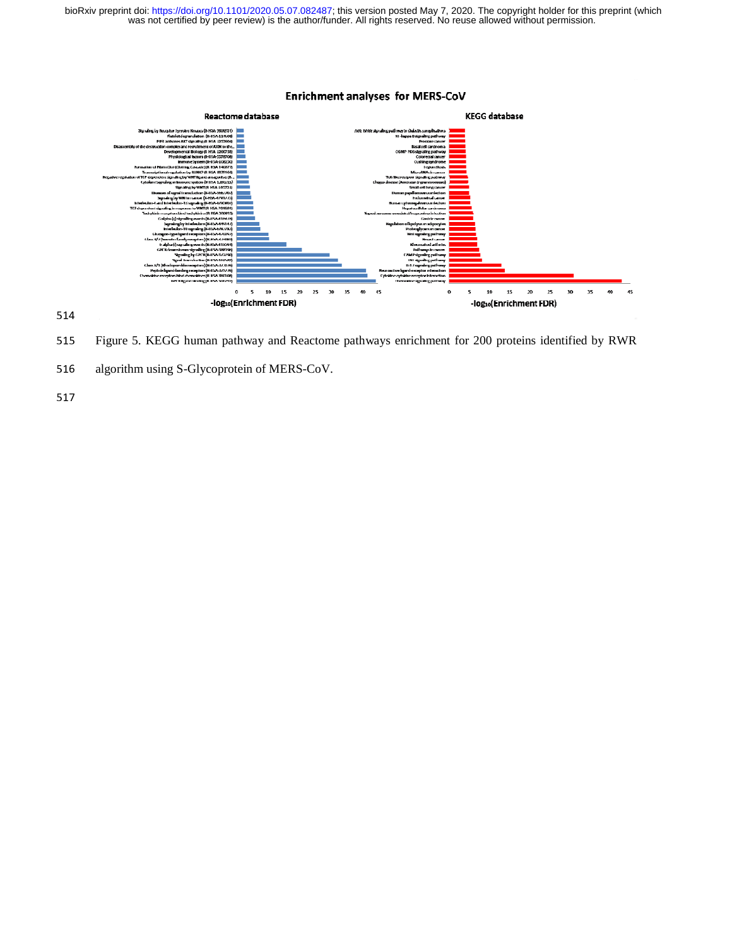

515 Figure 5. KEGG human pathway and Reactome pathways enrichment for 200 proteins identified by RWR

516 algorithm using S-Glycoprotein of MERS-CoV.

514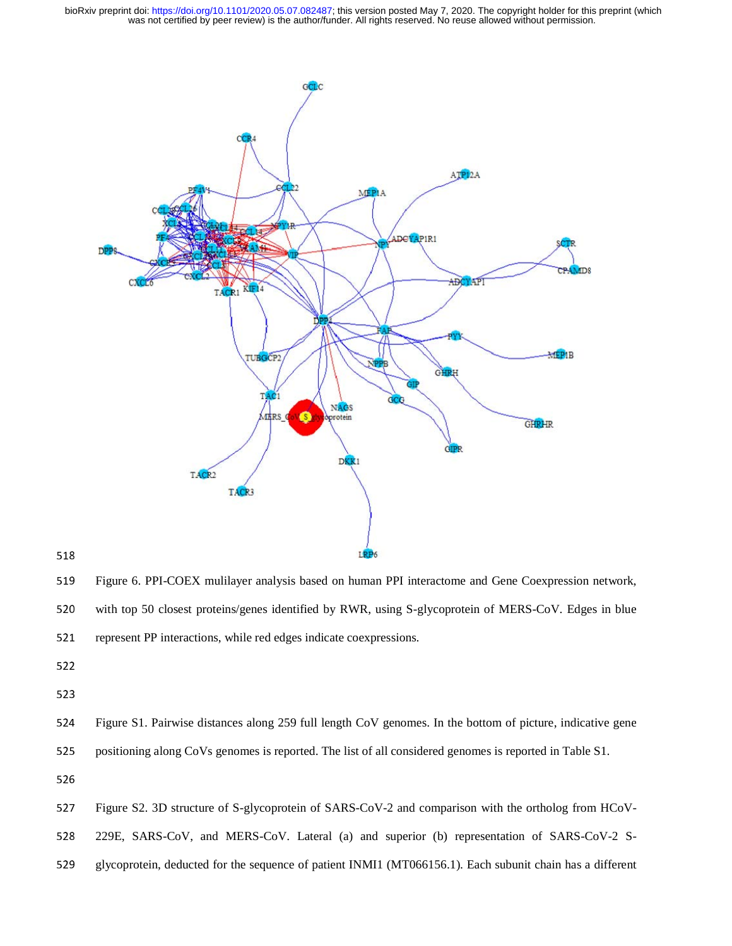

518

519 Figure 6. PPI-COEX mulilayer analysis based on human PPI interactome and Gene Coexpression network, 520 with top 50 closest proteins/genes identified by RWR, using S-glycoprotein of MERS-CoV. Edges in blue 521 represent PP interactions, while red edges indicate coexpressions. rk,<br>ue<br>V-

- 522
- 

524 Figure S1. Pairwise distances along 259 full length CoV genomes. In the bottom of picture, indicative gene 525 positioning along CoVs genomes is reported. The list of all considered genomes is reported in Table S1.

527 Figure S2. 3D structure of S-glycoprotein of SARS-CoV-2 and comparison with the ortholog from HCoV-

528 229E, SARS-CoV, and MERS-CoV. Lateral (a) and superior (b) representation of SARS-CoV-2 S--

529 glycoprotein, deducted for the sequence of patient INMI1 (MT066156.1). Each subunit chain has a different